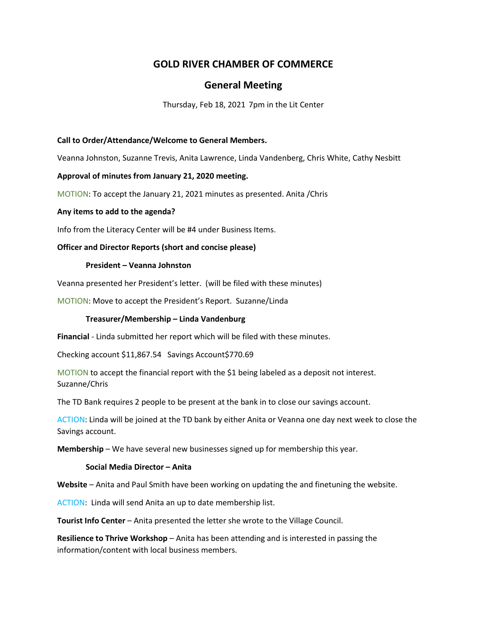# **GOLD RIVER CHAMBER OF COMMERCE**

# **General Meeting**

Thursday, Feb 18, 2021 7pm in the Lit Center

## **Call to Order/Attendance/Welcome to General Members.**

Veanna Johnston, Suzanne Trevis, Anita Lawrence, Linda Vandenberg, Chris White, Cathy Nesbitt

### **Approval of minutes from January 21, 2020 meeting.**

MOTION: To accept the January 21, 2021 minutes as presented. Anita /Chris

### **Any items to add to the agenda?**

Info from the Literacy Center will be #4 under Business Items.

### **Officer and Director Reports (short and concise please)**

### **President – Veanna Johnston**

Veanna presented her President's letter. (will be filed with these minutes)

MOTION: Move to accept the President's Report. Suzanne/Linda

## **Treasurer/Membership – Linda Vandenburg**

**Financial** - Linda submitted her report which will be filed with these minutes.

Checking account \$11,867.54 Savings Account\$770.69

MOTION to accept the financial report with the \$1 being labeled as a deposit not interest. Suzanne/Chris

The TD Bank requires 2 people to be present at the bank in to close our savings account.

ACTION: Linda will be joined at the TD bank by either Anita or Veanna one day next week to close the Savings account.

**Membership** – We have several new businesses signed up for membership this year.

#### **Social Media Director – Anita**

**Website** – Anita and Paul Smith have been working on updating the and finetuning the website.

ACTION: Linda will send Anita an up to date membership list.

**Tourist Info Center** – Anita presented the letter she wrote to the Village Council.

**Resilience to Thrive Workshop** – Anita has been attending and is interested in passing the information/content with local business members.